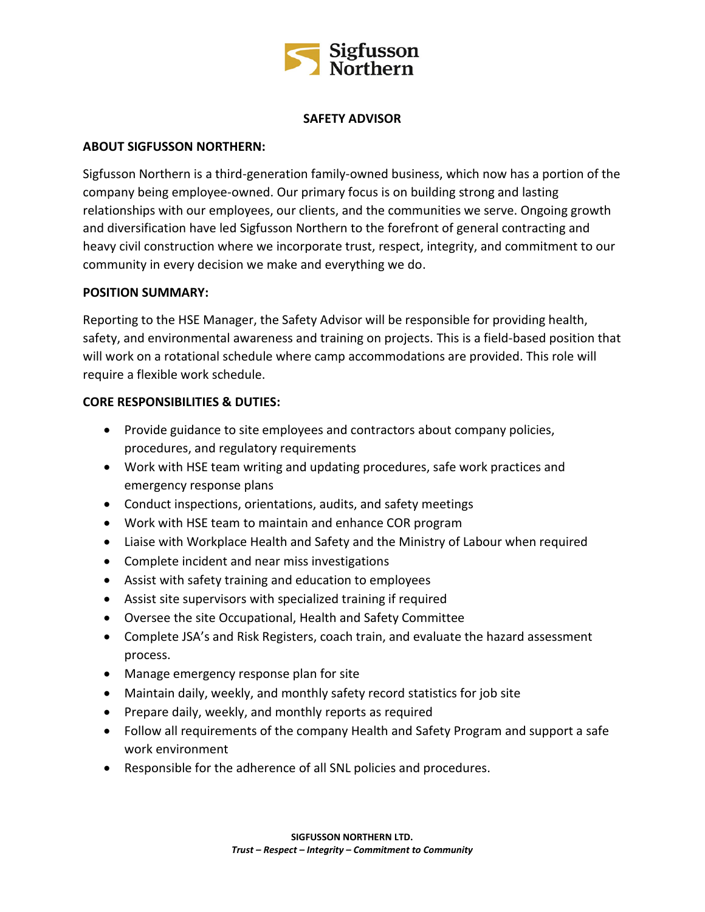

## **SAFETY ADVISOR**

## **ABOUT SIGFUSSON NORTHERN:**

Sigfusson Northern is a third-generation family-owned business, which now has a portion of the company being employee-owned. Our primary focus is on building strong and lasting relationships with our employees, our clients, and the communities we serve. Ongoing growth and diversification have led Sigfusson Northern to the forefront of general contracting and heavy civil construction where we incorporate trust, respect, integrity, and commitment to our community in every decision we make and everything we do.

### **POSITION SUMMARY:**

Reporting to the HSE Manager, the Safety Advisor will be responsible for providing health, safety, and environmental awareness and training on projects. This is a field-based position that will work on a rotational schedule where camp accommodations are provided. This role will require a flexible work schedule.

## **CORE RESPONSIBILITIES & DUTIES:**

- Provide guidance to site employees and contractors about company policies, procedures, and regulatory requirements
- Work with HSE team writing and updating procedures, safe work practices and emergency response plans
- Conduct inspections, orientations, audits, and safety meetings
- Work with HSE team to maintain and enhance COR program
- Liaise with Workplace Health and Safety and the Ministry of Labour when required
- Complete incident and near miss investigations
- Assist with safety training and education to employees
- Assist site supervisors with specialized training if required
- Oversee the site Occupational, Health and Safety Committee
- Complete JSA's and Risk Registers, coach train, and evaluate the hazard assessment process.
- Manage emergency response plan for site
- Maintain daily, weekly, and monthly safety record statistics for job site
- Prepare daily, weekly, and monthly reports as required
- Follow all requirements of the company Health and Safety Program and support a safe work environment
- Responsible for the adherence of all SNL policies and procedures.